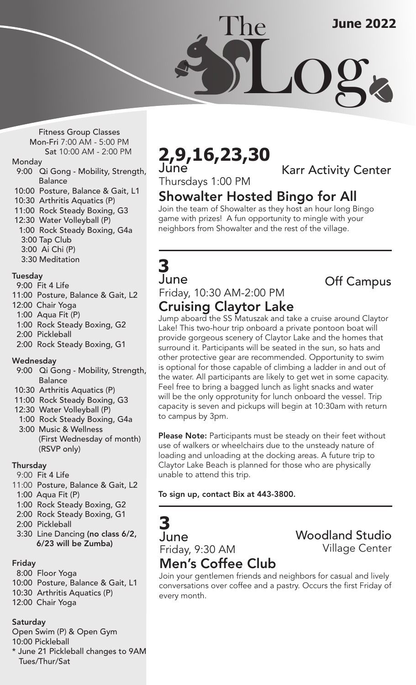Fitness Group Classes Mon-Fri 7:00 AM - 5:00 PM Sat 10:00 AM - 2:00 PM

#### Monday

- 9:00 Qi Gong Mobility, Strength, **Balance**
- 10:00 Posture, Balance & Gait, L1
- 10:30 Arthritis Aquatics (P)
- 11:00 Rock Steady Boxing, G3
- 12:30 Water Volleyball (P)
- 1:00 Rock Steady Boxing, G4a 3:00 Tap Club
- 3:00 Ai Chi (P)
- 3:30 Meditation

### Tuesday

- 9:00 Fit 4 Life
- 11:00 Posture, Balance & Gait, L2
- 12:00 Chair Yoga
- 1:00 Aqua Fit (P)
- 1:00 Rock Steady Boxing, G2
- 2:00 Pickleball
- 2:00 Rock Steady Boxing, G1

#### $\overline{\phantom{a}}$ Wednesday

- 9:00 Qi Gong Mobility, Strength, Balance
- 10:30 Arthritis Aquatics (P)
- 11:00 Rock Steady Boxing, G3
- 12:30 Water Volleyball (P)
- 1:00 Rock Steady Boxing, G4a 3:00 Music & Wellness (First Wednesday of month) (RSVP only)

#### $\overline{a}$ Thursday

- 9:00 Fit 4 Life
- 11:00 Posture, Balance & Gait, L2 1:00 Aqua Fit (P)
- 1:00 Rock Steady Boxing, G2
- 2:00 Rock Steady Boxing, G1
- 2:00 Pickleball
- 3:30 Line Dancing (no class 6/2, 6/23 will be Zumba)

### Friday

- 8:00 Floor Yoga
- 10:00 Posture, Balance & Gait, L1
- 10:30 Arthritis Aquatics (P)
- 12:00 Chair Yoga

### Saturday

Open Swim (P) & Open Gym

10:00 Pickleball

\* June 21 Pickleball changes to 9AM Tues/Thur/Sat

## **2,9,16,23,30** June

Karr Activity Center

## Thursdays 1:00 PM

# Showalter Hosted Bingo for All

The

Join the team of Showalter as they host an hour long Bingo game with prizes! A fun opportunity to mingle with your neighbors from Showalter and the rest of the village.

## **3** June

## Friday, 10:30 AM-2:00 PM Cruising Claytor Lake

Off Campus

Jump aboard the SS Matuszak and take a cruise around Claytor Lake! This two-hour trip onboard a private pontoon boat will provide gorgeous scenery of Claytor Lake and the homes that surround it. Participants will be seated in the sun, so hats and other protective gear are recommended. Opportunity to swim is optional for those capable of climbing a ladder in and out of the water. All participants are likely to get wet in some capacity. Feel free to bring a bagged lunch as light snacks and water will be the only opprotunity for lunch onboard the vessel. Trip capacity is seven and pickups will begin at 10:30am with return to campus by 3pm.

Please Note: Participants must be steady on their feet without use of walkers or wheelchairs due to the unsteady nature of loading and unloading at the docking areas. A future trip to Claytor Lake Beach is planned for those who are physically unable to attend this trip.

To sign up, contact Bix at 443-3800.

## **3** June Friday, 9:30 AM

## Woodland Studio Village Center

# Men's Coffee Club

Join your gentlemen friends and neighbors for casual and lively conversations over coffee and a pastry. Occurs the first Friday of every month.

Log **June 2022**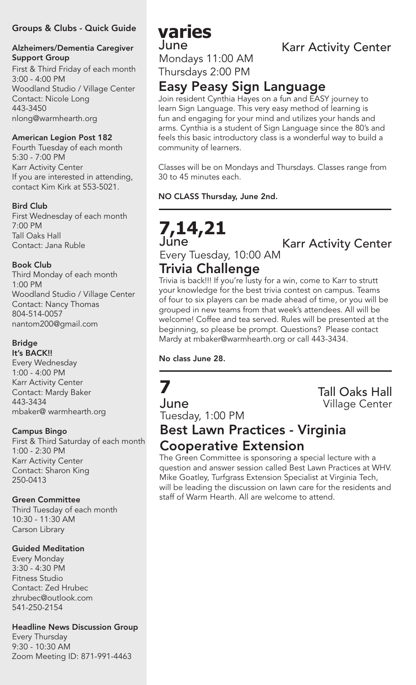### Groups & Clubs - Quick Guide

### Alzheimers/Dementia Caregiver Support Group

First & Third Friday of each month 3:00 - 4:00 PM Woodland Studio / Village Center Contact: Nicole Long 443-3450 nlong@warmhearth.org

### American Legion Post 182

Fourth Tuesday of each month 5:30 - 7:00 PM Karr Activity Center If you are interested in attending, contact Kim Kirk at 553-5021.

### Bird Club

First Wednesday of each month 7:00 PM Tall Oaks Hall Contact: Jana Ruble

### Book Club

Third Monday of each month 1:00 PM Woodland Studio / Village Center Contact: Nancy Thomas 804-514-0057 nantom200@gmail.com

### Bridge

It's BACK!! Every Wednesday 1:00 - 4:00 PM Karr Activity Center Contact: Mardy Baker 443-3434 mbaker@ warmhearth.org

### Campus Bingo

First & Third Saturday of each month 1:00 - 2:30 PM Karr Activity Center Contact: Sharon King 250-0413

### Green Committee

Third Tuesday of each month 10:30 - 11:30 AM Carson Library

### Guided Meditation

Every Monday 3:30 - 4:30 PM Fitness Studio Contact: Zed Hrubec zhrubec@outlook.com 541-250-2154

### Headline News Discussion Group

Every Thursday 9:30 - 10:30 AM Zoom Meeting ID: 871-991-4463

## **varies** June

Mondays 11:00 AM Thursdays 2:00 PM

## Easy Peasy Sign Language

Join resident Cynthia Hayes on a fun and EASY journey to learn Sign Language. This very easy method of learning is fun and engaging for your mind and utilizes your hands and arms. Cynthia is a student of Sign Language since the 80's and feels this basic introductory class is a wonderful way to build a community of learners.

Classes will be on Mondays and Thursdays. Classes range from 30 to 45 minutes each.

### NO CLASS Thursday, June 2nd.

## **7,14,21** June

Karr Activity Center

## Trivia Challenge

Every Tuesday, 10:00 AM

Trivia is back!!! If you're lusty for a win, come to Karr to strutt your knowledge for the best trivia contest on campus. Teams of four to six players can be made ahead of time, or you will be grouped in new teams from that week's attendees. All will be welcome! Coffee and tea served. Rules will be presented at the beginning, so please be prompt. Questions? Please contact Mardy at mbaker@warmhearth.org or call 443-3434.

No class June 28.

# **7**

June Tuesday, 1:00 PM Tall Oaks Hall Village Center

## Best Lawn Practices - Virginia Cooperative Extension

The Green Committee is sponsoring a special lecture with a question and answer session called Best Lawn Practices at WHV. Mike Goatley, Turfgrass Extension Specialist at Virginia Tech, will be leading the discussion on lawn care for the residents and staff of Warm Hearth. All are welcome to attend.

## Karr Activity Center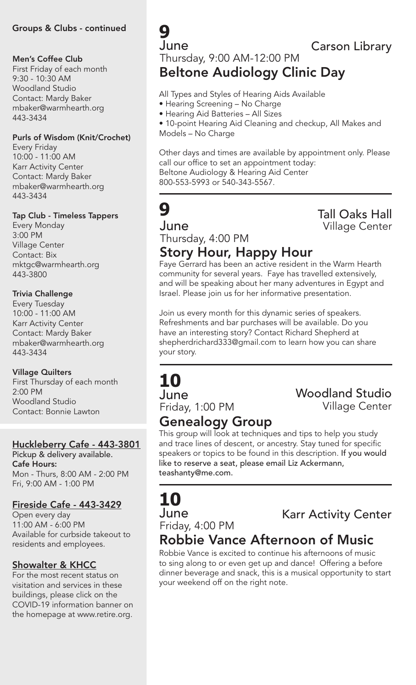### Groups & Clubs - continued

### Men's Coffee Club

First Friday of each month 9:30 - 10:30 AM Woodland Studio Contact: Mardy Baker mbaker@warmhearth.org 443-3434

#### Purls of Wisdom (Knit/Crochet)

Every Friday 10:00 - 11:00 AM Karr Activity Center Contact: Mardy Baker mbaker@warmhearth.org 443-3434

### Tap Club - Timeless Tappers

Every Monday 3:00 PM Village Center Contact: Bix mktgc@warmhearth.org 443-3800

### Trivia Challenge

Every Tuesday 10:00 - 11:00 AM Karr Activity Center Contact: Mardy Baker mbaker@warmhearth.org 443-3434

### Village Quilters

First Thursday of each month 2:00 PM Woodland Studio Contact: Bonnie Lawton

### Huckleberry Cafe - 443-3801

Pickup & delivery available. Cafe Hours: Mon - Thurs, 8:00 AM - 2:00 PM Fri, 9:00 AM - 1:00 PM

## Fireside Cafe - 443-3429

Open every day 11:00 AM - 6:00 PM Available for curbside takeout to residents and employees.

## Showalter & KHCC

For the most recent status on visitation and services in these buildings, please click on the COVID-19 information banner on the homepage at www.retire.org.

**9** June

Carson Library

## Thursday, 9:00 AM-12:00 PM Beltone Audiology Clinic Day

All Types and Styles of Hearing Aids Available

- Hearing Screening No Charge
- Hearing Aid Batteries All Sizes

• 10-point Hearing Aid Cleaning and checkup, All Makes and Models – No Charge

Other days and times are available by appointment only. Please call our office to set an appointment today: Beltone Audiology & Hearing Aid Center 800-553-5993 or 540-343-5567.

# **9**

June Thursday, 4:00 PM

## Tall Oaks Hall Village Center

# Story Hour, Happy Hour

Faye Gerrard has been an active resident in the Warm Hearth community for several years. Faye has travelled extensively, and will be speaking about her many adventures in Egypt and Israel. Please join us for her informative presentation.

Join us every month for this dynamic series of speakers. Refreshments and bar purchases will be available. Do you have an interesting story? Contact Richard Shepherd at shepherdrichard333@gmail.com to learn how you can share your story.

## **10** June

Friday, 1:00 PM

# Woodland Studio

Village Center

# Genealogy Group

This group will look at techniques and tips to help you study and trace lines of descent, or ancestry. Stay tuned for specific speakers or topics to be found in this description. If you would like to reserve a seat, please email Liz Ackermann, teashanty@me.com.

# **10** June

# **June Karr Activity Center<br>Friday, 4:00 PM** Karr Act**ivity Center**

## Robbie Vance Afternoon of Music

Robbie Vance is excited to continue his afternoons of music to sing along to or even get up and dance! Offering a before dinner beverage and snack, this is a musical opportunity to start your weekend off on the right note.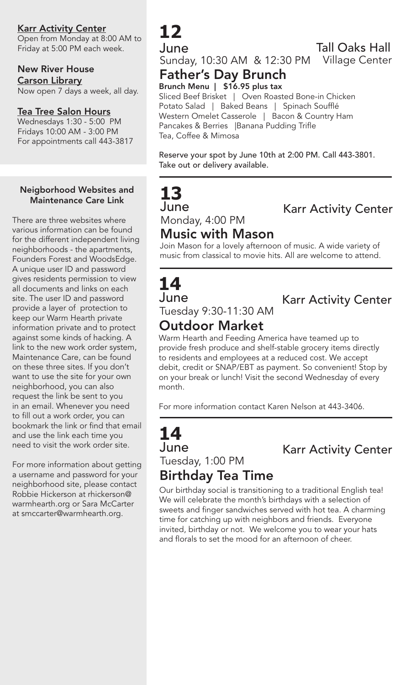Karr Activity Center

Open from Monday at 8:00 AM to Friday at 5:00 PM each week.

## New River House

Carson Library Now open 7 days a week, all day.

### Tea Tree Salon Hours

Wednesdays 1:30 - 5:00 PM Fridays 10:00 AM - 3:00 PM For appointments call 443-3817

### Neigborhood Websites and Maintenance Care Link

There are three websites where various information can be found for the different independent living neighborhoods - the apartments, Founders Forest and WoodsEdge. A unique user ID and password gives residents permission to view all documents and links on each site. The user ID and password provide a layer of protection to keep our Warm Hearth private information private and to protect against some kinds of hacking. A link to the new work order system, Maintenance Care, can be found on these three sites. If you don't want to use the site for your own neighborhood, you can also request the link be sent to you in an email. Whenever you need to fill out a work order, you can bookmark the link or find that email and use the link each time you need to visit the work order site.

For more information about getting a username and password for your neighborhood site, please contact Robbie Hickerson at rhickerson@ warmhearth.org or Sara McCarter at smccarter@warmhearth.org.

# **12**

June Sunday, 10:30 AM & 12:30 PM Village Center Tall Oaks Hall

### Father's Day Brunch Brunch Menu | \$16.95 plus tax

Sliced Beef Brisket | Oven Roasted Bone-in Chicken Potato Salad | Baked Beans | Spinach Soufflé Western Omelet Casserole | Bacon & Country Ham Pancakes & Berries |Banana Pudding Trifle Tea, Coffee & Mimosa

Reserve your spot by June 10th at 2:00 PM. Call 443-3801. Take out or delivery available.

# **13** June Monday, 4:00 PM

Karr Activity Center

### Music with Mason Join Mason for a lovely afternoon of music. A wide variety of

music from classical to movie hits. All are welcome to attend.

## **14** June Tuesday 9:30-11:30 AM

Karr Activity Center

# Outdoor Market

Warm Hearth and Feeding America have teamed up to provide fresh produce and shelf-stable grocery items directly to residents and employees at a reduced cost. We accept debit, credit or SNAP/EBT as payment. So convenient! Stop by on your break or lunch! Visit the second Wednesday of every month.

For more information contact Karen Nelson at 443-3406.

## **14** June Tuesday, 1:00 PM Birthday Tea Time

Karr Activity Center

Our birthday social is transitioning to a traditional English tea! We will celebrate the month's birthdays with a selection of sweets and finger sandwiches served with hot tea. A charming time for catching up with neighbors and friends. Everyone invited, birthday or not. We welcome you to wear your hats and florals to set the mood for an afternoon of cheer.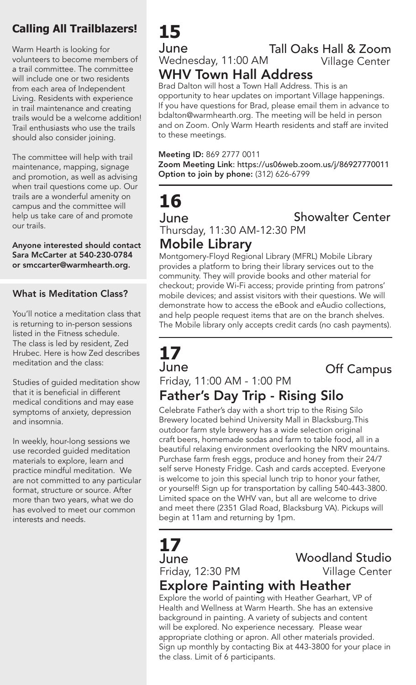## **Calling All Trailblazers!**

Warm Hearth is looking for volunteers to become members of a trail committee. The committee will include one or two residents from each area of Independent Living. Residents with experience in trail maintenance and creating trails would be a welcome addition! Trail enthusiasts who use the trails should also consider joining.

The committee will help with trail maintenance, mapping, signage and promotion, as well as advising when trail questions come up. Our trails are a wonderful amenity on campus and the committee will help us take care of and promote our trails.

Anyone interested should contact Sara McCarter at 540-230-0784 or smccarter@warmhearth.org.

## What is Meditation Class?

You'll notice a meditation class that is returning to in-person sessions listed in the Fitness schedule. The class is led by resident, Zed Hrubec. Here is how Zed describes meditation and the class:

Studies of guided meditation show that it is beneficial in different medical conditions and may ease symptoms of anxiety, depression and insomnia.

In weekly, hour-long sessions we use recorded guided meditation materials to explore, learn and practice mindful meditation. We are not committed to any particular format, structure or source. After more than two years, what we do has evolved to meet our common interests and needs.

# **15**

#### June Wednesday, 11:00 AM Tall Oaks Hall & Zoom WHV Town Hall Address Village Center

Brad Dalton will host a Town Hall Address. This is an opportunity to hear updates on important Village happenings. If you have questions for Brad, please email them in advance to bdalton@warmhearth.org. The meeting will be held in person and on Zoom. Only Warm Hearth residents and staff are invited to these meetings.

### Meeting ID: 869 2777 0011

Zoom Meeting Link: https://us06web.zoom.us/j/86927770011 Option to join by phone: (312) 626-6799

# **16**

June

Showalter Center

Thursday, 11:30 AM-12:30 PM

## Mobile Library

Montgomery-Floyd Regional Library (MFRL) Mobile Library provides a platform to bring their library services out to the community. They will provide books and other material for checkout; provide Wi-Fi access; provide printing from patrons' mobile devices; and assist visitors with their questions. We will demonstrate how to access the eBook and eAudio collections, and help people request items that are on the branch shelves. The Mobile library only accepts credit cards (no cash payments).

# **17** June

Off Campus

## Friday, 11:00 AM - 1:00 PM Father's Day Trip - Rising Silo

Celebrate Father's day with a short trip to the Rising Silo Brewery located behind University Mall in Blacksburg.This outdoor farm style brewery has a wide selection original craft beers, homemade sodas and farm to table food, all in a beautiful relaxing environment overlooking the NRV mountains. Purchase farm fresh eggs, produce and honey from their 24/7 self serve Honesty Fridge. Cash and cards accepted. Everyone is welcome to join this special lunch trip to honor your father, or yourself! Sign up for transportation by calling 540-443-3800. Limited space on the WHV van, but all are welcome to drive and meet there (2351 Glad Road, Blacksburg VA). Pickups will begin at 11am and returning by 1pm.

# **17**

June

Friday, 12:30 PM

## Woodland Studio Village Center

## Explore Painting with Heather

Explore the world of painting with Heather Gearhart, VP of Health and Wellness at Warm Hearth. She has an extensive background in painting. A variety of subjects and content will be explored. No experience necessary. Please wear appropriate clothing or apron. All other materials provided. Sign up monthly by contacting Bix at 443-3800 for your place in the class. Limit of 6 participants.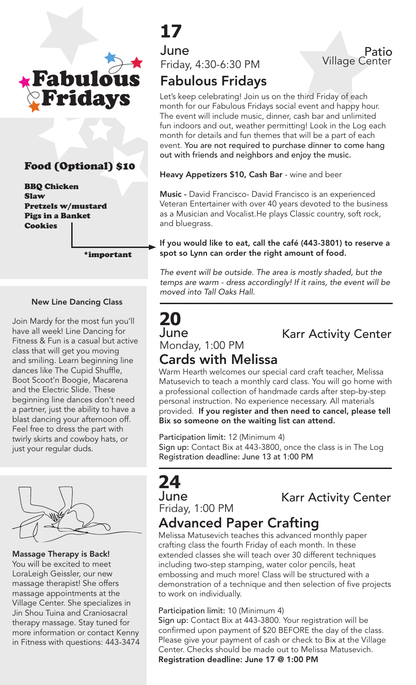

## Food (Optional) \$10

BBQ Chicken Slaw Pretzels w/mustard Pigs in a Banket Cookies

\*important

#### New Line Dancing Class

Join Mardy for the most fun you'll have all week! Line Dancing for Fitness & Fun is a casual but active class that will get you moving and smiling. Learn beginning line dances like The Cupid Shuffle, Boot Scoot'n Boogie, Macarena and the Electric Slide. These beginning line dances don't need a partner, just the ability to have a blast dancing your afternoon off. Feel free to dress the part with twirly skirts and cowboy hats, or just your regular duds.



Massage Therapy is Back! You will be excited to meet LoraLeigh Geissler, our new massage therapist! She offers massage appointments at the Village Center. She specializes in Jin Shou Tuina and Craniosacral therapy massage. Stay tuned for more information or contact Kenny in Fitness with questions: 443-3474

# **17**

June Friday, 4:30-6:30 PM

# Fabulous Fridays

Let's keep celebrating! Join us on the third Friday of each month for our Fabulous Fridays social event and happy hour. The event will include music, dinner, cash bar and unlimited fun indoors and out, weather permitting! Look in the Log each month for details and fun themes that will be a part of each event. You are not required to purchase dinner to come hang out with friends and neighbors and enjoy the music.

Heavy Appetizers \$10, Cash Bar - wine and beer

Music - David Francisco- David Francisco is an experienced Veteran Entertainer with over 40 years devoted to the business as a Musician and Vocalist.He plays Classic country, soft rock, and bluegrass.

If you would like to eat, call the café (443-3801) to reserve a spot so Lynn can order the right amount of food.

*The event will be outside. The area is mostly shaded, but the temps are warm - dress accordingly! If it rains, the event will be moved into Tall Oaks Hall.* 

# **20**

Karr Activity Center

Patio

Village Center

# **June**<br>Monday, 1:00 PM

## Cards with Melissa

Warm Hearth welcomes our special card craft teacher, Melissa Matusevich to teach a monthly card class. You will go home with a professional collection of handmade cards after step-by-step personal instruction. No experience necessary. All materials provided. If you register and then need to cancel, please tell Bix so someone on the waiting list can attend.

Participation limit: 12 (Minimum 4) Sign up: Contact Bix at 443-3800, once the class is in The Log Registration deadline: June 13 at 1:00 PM

# **24**

June

# **June**<br>Friday, 1:00 PM **Karr Activity Center**

## Advanced Paper Crafting

Melissa Matusevich teaches this advanced monthly paper crafting class the fourth Friday of each month. In these extended classes she will teach over 30 different techniques including two-step stamping, water color pencils, heat embossing and much more! Class will be structured with a demonstration of a technique and then selection of five projects to work on individually.

#### Participation limit: 10 (Minimum 4)

Sign up: Contact Bix at 443-3800. Your registration will be confirmed upon payment of \$20 BEFORE the day of the class. Please give your payment of cash or check to Bix at the Village Center. Checks should be made out to Melissa Matusevich. Registration deadline: June 17 @ 1:00 PM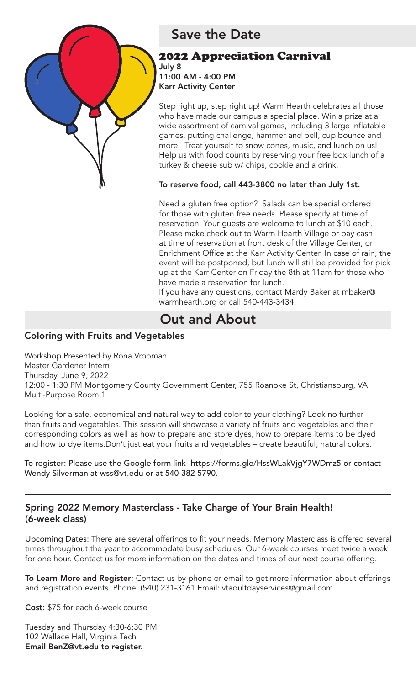

## Save the Date

## 2022 Appreciation Carnival

July 8 11:00 AM - 4:00 PM Karr Activity Center

Step right up, step right up! Warm Hearth celebrates all those who have made our campus a special place. Win a prize at a wide assortment of carnival games, including 3 large inflatable games, putting challenge, hammer and bell, cup bounce and more. Treat yourself to snow cones, music, and lunch on us! Help us with food counts by reserving your free box lunch of a turkey & cheese sub w/ chips, cookie and a drink.

To reserve food, call 443-3800 no later than July 1st.

Need a gluten free option? Salads can be special ordered for those with gluten free needs. Please specify at time of reservation. Your guests are welcome to lunch at \$10 each. Please make check out to Warm Hearth Village or pay cash at time of reservation at front desk of the Village Center, or Enrichment Office at the Karr Activity Center. In case of rain, the event will be postponed, but lunch will still be provided for pick up at the Karr Center on Friday the 8th at 11am for those who have made a reservation for lunch.

If you have any questions, contact Mardy Baker at mbaker@ warmhearth.org or call 540-443-3434.

# Out and About

## Coloring with Fruits and Vegetables

Workshop Presented by Rona Vrooman Master Gardener Intern Thursday, June 9, 2022 12:00 - 1:30 PM Montgomery County Government Center, 755 Roanoke St, Christiansburg, VA Multi-Purpose Room 1

Looking for a safe, economical and natural way to add color to your clothing? Look no further than fruits and vegetables. This session will showcase a variety of fruits and vegetables and their corresponding colors as well as how to prepare and store dyes, how to prepare items to be dyed and how to dye items.Don't just eat your fruits and vegetables – create beautiful, natural colors.

To register: Please use the Google form link- https://forms.gle/HssWLakVjgY7WDmz5 or contact Wendy Silverman at wss@vt.edu or at 540-382-5790.

## Spring 2022 Memory Masterclass - Take Charge of Your Brain Health! (6-week class)

Upcoming Dates: There are several offerings to fit your needs. Memory Masterclass is offered several times throughout the year to accommodate busy schedules. Our 6-week courses meet twice a week for one hour. Contact us for more information on the dates and times of our next course offering.

To Learn More and Register: Contact us by phone or email to get more information about offerings and registration events. Phone: (540) 231-3161 Email: vtadultdayservices@gmail.com

Cost: \$75 for each 6-week course

Tuesday and Thursday 4:30-6:30 PM 102 Wallace Hall, Virginia Tech Email BenZ@vt.edu to register.